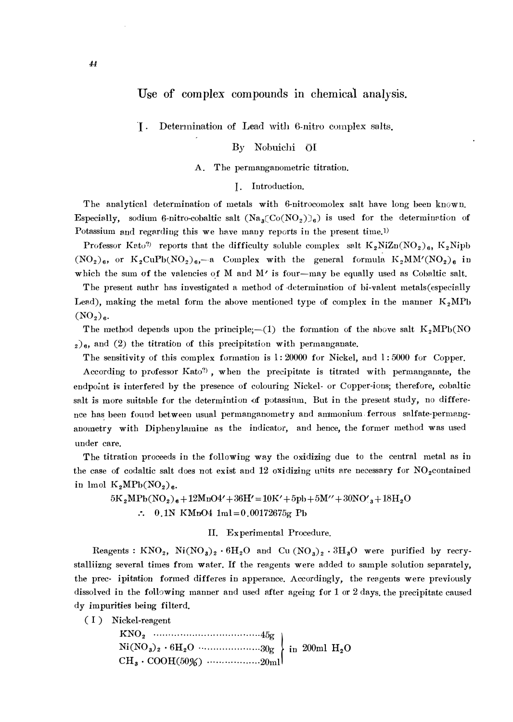# Use of complex compounds in chemical analysis.

I . Determination of Lead with 6-nitro complex salts.

## By Nobuichi OI

## A. The permanganometric titration.

## I. Introduction.

The analytical determination of metals with 6-nitrocomolex salt have long been known. Especially, sodium 6-nitro-cobaltic salt  $(Na_3(Co(NO_2))_6)$  is used for the determination of Potassium and regarding this we have many reports in the present time.<sup>1)</sup>

Professor Kato<sup>2</sup> reports that the difficulty soluble complex salt  $K_2NiZn(NO_2)_{6}$ , K<sub>2</sub>Nipb  $(NO_2)_6$ , or  $K_2CuPb(NO_2)_6$ , a Complex with the general formula  $K_2MM'(NO_2)_6$  in which the sum of the valencies of M and  $M'$  is four-may be equally used as Cobaltic salt.

The present authr has investigated a method of determination of bi-valent metals( especially Lead), making the metal form the above mentioned type of complex in the manner  $K_2MPb$  $(NO<sub>2</sub>)<sub>6</sub>$ .

The method depends upon the principle;--(1) the formation of the above salt  $K_2MPb(NO)$  $2)$ <sub>6</sub>, and (2) the titration of this precipitation with permanganate.

The sensitivity of this complex formation is 1: 20000 for Nickel, and l: 5000 for Copper. According to professor Kato<sup>?</sup>), when the precipitate is titrated with permanganate, the endpoint is interfered by the presence of colouring Nickel- or Copper-ions; therefore, cobaltic salt is more suitable for the determintion of potassinm. But in the present study, no difference has been found between usual permanganometry and ammonium ferrous salfate-permanganometry with Diphenylmnine as the indicator, and hence, the former method was used under care.

The titration proceeds in the following way the oxidizing due to the central metal as in the case of codaltic salt does not exist and 12 oxidizing units are necessary for  $NO_2$ contained in lmol  $K_2MPb(NO_2)_{\sigma}$ .

 $5K_2MPb(NO_2)_6+12MnO4'+36H'=10K'+5pb+5M''+30NO'_3+18H_2O$  $\therefore$  0.1N KMnO4 1ml=0.00172675g Pb

## II. Experimental Procedure.

Reagents :  $KNO_2$ ,  $Ni(NO_3)_2 \cdot 6H_2O$  and Cu  $(NO_3)_2 \cdot 3H_3O$  were purified by recrystalliizng several times from water. If the reagents were added to sample solution separately, the prec- ipitation formed differes in apperance. Accordingly, the reagents were previously dissolved in the following manner and used after ageing for  $1$  or  $2$  days, the precipitate caused dy impurities being filterd.

(I) Nickel-reagent

| Vickel-reagent               |  |  |
|------------------------------|--|--|
|                              |  |  |
|                              |  |  |
| $CH_3 \cdot COOH(50\%)$ 20ml |  |  |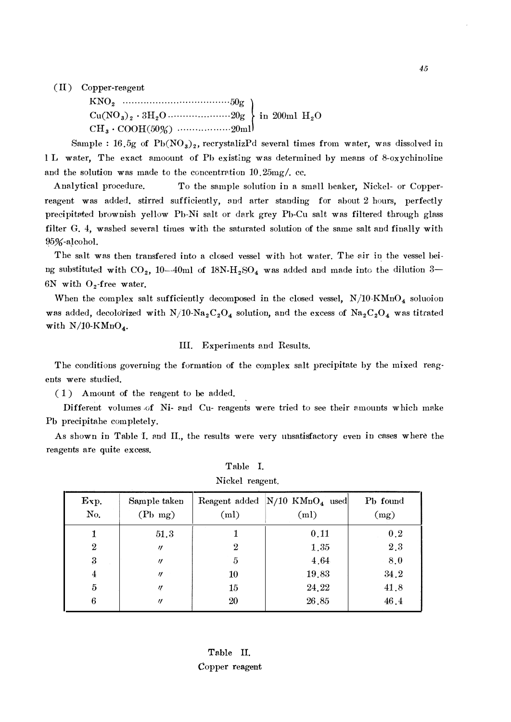$(II)$  Copper-reagent

KN02 ········ ····· ········· ·············· 50g � Cu(N03)2 • 3H20 ·········· ··········· 20g  $CH_3 \cdot COOH(50\%)$  ·················20ml

Sample : 16.5g of  $Pb(NO<sub>3</sub>)<sub>2</sub>$ , recrystalizPd several times from water, was dissolved in l L water, The exact amoount of Ph existing was determined by means of 8-oxychinoline and the solution was made to the concentration  $10.25 \text{mg}/\text{C}$ .

Analytical procedure. To the sample solution in a small beaker, Nickel- or Copperreagent was added. stirred sufficiently, and arter standing for about 2 hours, perfectly precipitated brownish yellow Pb-Ni salt or dark grey Pb-Cu salt was filtered through glass filter G. 4, washed several times with the saturated solution of the same salt and finaJly with 95%-alcohol.

The salt was then transfered into a closed vessel with hot water. The air in the vessel being substituted with CO<sub>2</sub>, 10--40ml of  $18N\text{-}H_2\text{SO}_4$  was added and made into the dilution 3-6N with  $O_2$ -free water.

When the complex salt sufficiently decomposed in the closed vessel,  $N/10 \cdot KMnO_4$  soluoion was added, decolorized with  $N/10\text{-}Na_2C_2O_4$  solution, and the excess of  $Na_2C_2O_4$  was titrated with  $N/10-KMnO_4$ .

#### III. Experiments and Results.

The conditions governing the formation of the complex salt precipitate by the mixed reag· ents were studied.

( 1 ) Amount of the reagent to be added.

Different volumes of Ni- and Cu- reagents were tried to see their amounts which make Ph precipitahe completely.

As shown in Table I. and II., the results were very unsatisfactory even in cases where the reagents are quite excess.

|                  | THOPOT TOUR CHAN                  |      |                                                     |                              |  |  |
|------------------|-----------------------------------|------|-----------------------------------------------------|------------------------------|--|--|
| Exp.<br>No.      | Sample taken<br>$(Pb \text{ mg})$ | (ml) | Reagent added $N/10$ KMnO <sub>4</sub> used<br>(ml) | P <sub>b</sub> found<br>(mg) |  |  |
|                  | 51.3                              |      | 0.11                                                | 0.2                          |  |  |
| $\boldsymbol{2}$ | $^{\prime\prime}$                 | 2    | 1.35                                                | 2.3                          |  |  |
| $\boldsymbol{3}$ | $^{\prime\prime}$                 | 5    | 4.64                                                | 8.0                          |  |  |
| 4                | $^{\prime\prime}$                 | 10   | 19.83                                               | 34.2                         |  |  |
| $\overline{5}$   | IJ                                | 15   | 24.22                                               | 41.8                         |  |  |
| 6                | $^{\prime\prime}$                 | 20   | 26.85                                               | 46.4                         |  |  |

Table I. Nickel reagent.

Table II. Copper reagent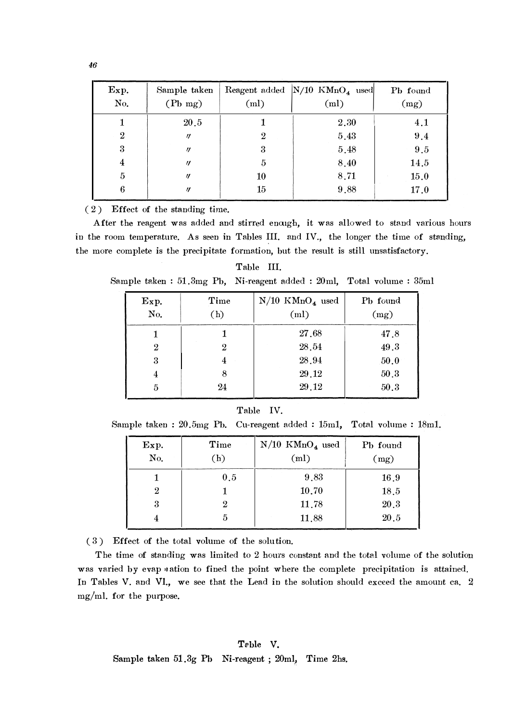| Exp.<br>No.      | Sample taken<br>$(Pb \text{ mg})$ | (ml)             | Reagent added $N/10$ KMnO <sub>4</sub> used<br>(ml) | Pb found<br>(mg) |
|------------------|-----------------------------------|------------------|-----------------------------------------------------|------------------|
|                  | 20.5                              |                  | 2.30                                                | 4.1              |
| $\boldsymbol{2}$ | $\eta$                            | $\boldsymbol{2}$ | 5.43                                                | 9.4              |
| 3                | $\eta$                            | 3                | 5.48                                                | $9.5\,$          |
| 4                | $^{\prime\prime}$                 | 5                | 8.40                                                | 14.5             |
| 5                | $^{\prime\prime}$                 | 10               | 8.71                                                | 15.0             |
| 6                | $^{\prime\prime}$                 | 15               | 9.88                                                | 17.0             |

 $(2)$  Effect of the standing time.

After the reagent was added and stirred enough, it was allowed to stand various hours in the room temperature. As seen in Tables III. and IV., the longer the time of standing, the more complete is the precipitate formation, but the result is still unsatisfactory.

# Table III.

Sample taken : 51.3mg Pb, Ni-reagent added : 20ml, Total volume : 35ml

| Exp.<br>No.      | Time<br>(h) | $N/10$ KMnO <sub>4</sub> used<br>(ml) | Pb found<br>(mg) |
|------------------|-------------|---------------------------------------|------------------|
|                  |             | 27.68                                 | 47.8             |
| $\boldsymbol{2}$ | 2           | 28.54                                 | 49.3             |
| 3                | 4           | 28.94                                 | 50.0             |
| 4                | 8           | 29.12                                 | 50.3             |
| 5                | 24          | 29.12                                 | 50.3             |
|                  |             |                                       |                  |

#### Table IV.

Sample taken : 20.5mg Pb. Cu-reagent added : 15m1, Total volume : 18m1.

| Exp.<br>No. | Time<br>(h) | $N/10$ KMnO <sub>4</sub> used<br>(ml) | P <sub>b</sub> found<br>(mg) |
|-------------|-------------|---------------------------------------|------------------------------|
|             | 0.5         | 9.83                                  | 16.9                         |
| 2           |             | 10.70                                 | 18.5                         |
| 3           | 9.          | 11.78                                 | 20.3                         |
|             |             | 11,88                                 | 20.5                         |

( 3 ) Effect of the total volume of the solution.

The time of standing was limited to 2 hours constant and the total volume of the solution was varied by evap *n*ation to fined the point where the complete precipitation is attained. In Tables V. and VI., we see that the Lead in the solution should exceed the amount ca. 2 mg/ml. for the purpose.

46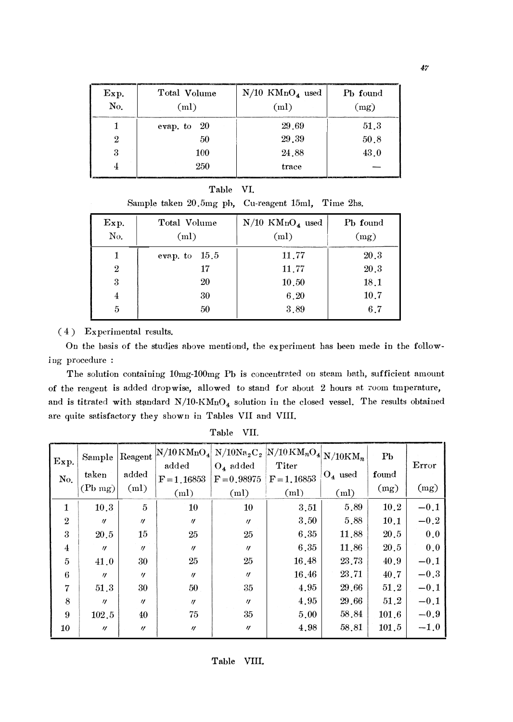| Exp.<br>No.      | Total Volume<br>(ml) | $N/10$ KMnO <sub>4</sub> used<br>(ml) | P <sub>b</sub> found<br>(mg) |
|------------------|----------------------|---------------------------------------|------------------------------|
|                  | evap. to $20$        | 29.69                                 | 51.3                         |
| $\boldsymbol{2}$ | 50                   | 29.39                                 | 50.8                         |
| 3                | 100                  | 24.88                                 | 43.0                         |
|                  | 250                  | trace                                 |                              |

| Table |  |
|-------|--|
|       |  |

Sample taken 20.5mg ph, Cu-reagent 15ml, Time 2hs.

| Exp.<br>No.      | Total Volume<br>(ml) | $N/10$ KMnO <sub>4</sub> used<br>(ml) | P <sub>b</sub> found<br>(mg) |
|------------------|----------------------|---------------------------------------|------------------------------|
| 1                | 15.5<br>evap. to     | 11.77                                 | 20.3                         |
| $\boldsymbol{2}$ | 17                   | 11.77                                 | 20.3                         |
| 3                | 20                   | 10.50                                 | 18.1                         |
| 4                | 30                   | 6.20                                  | 10.7                         |
| 5                | 50                   | 3.89                                  | 6.7                          |

## $(4)$  Experimental results.

On the basis of the studies above mentiond, the experiment has been mede in the following procedure :

The solution containing 10mg-100mg Pb is concentrated on steam bath, sufficient amount of the reagent is added dropwise, allowed to stand for about 2 hours at zoom tmperature, and is titrated with standard  $N/10\text{-}KMnO_4$  solution in the closed vessel. The results obtained are quite satisfactory they shown in Tables VII and VIII.

| Exp.<br>No.    | Sample<br>taken<br>$(Pb \text{ mg})$ | added<br>(ml)     | $\rm{R^{e,1}N/10\,KMnO_4}$ N/ $\rm{10Na_2C_2}$ $\rm{N/10\,KM_nO_4}$ $\rm{N/10KM_n}$<br>added<br>$F = 1.16853$<br>(ml) | $O_4$ added<br>$F = 0.98975$<br>(ml) | Titer<br>$F = 1,16853$<br>(ml) | $O_4$ used<br>(ml) | P <sub>b</sub><br>found<br>(mg) | Error<br>(mg) |
|----------------|--------------------------------------|-------------------|-----------------------------------------------------------------------------------------------------------------------|--------------------------------------|--------------------------------|--------------------|---------------------------------|---------------|
| 1              | 10.3                                 | 5                 | 10                                                                                                                    | 10                                   | 3.51                           | 5.89               | 10.2                            | $-0.1$        |
| $\overline{2}$ | $^{\prime\prime}$                    | $^{\prime\prime}$ | $^{\prime\prime}$                                                                                                     | $^{\prime\prime}$                    | 3.50                           | 5.88               | 10.1                            | $-0.2$        |
| 3              | 20.5                                 | 15                | 25                                                                                                                    | 25                                   | 6.35                           | 11.88              | 20.5                            | 0.0           |
| $\overline{4}$ | $\eta$                               | $^{\prime\prime}$ | $\eta$                                                                                                                | $^{\prime\prime}$                    | 6.35                           | 11.86              | 20.5                            | 0.0           |
| 5              | 41.0                                 | 30                | 25                                                                                                                    | 25                                   | 16.48                          | 23.73              | 40.9                            | $-0.1$        |
| 6              | $^{\prime\prime}$                    | $^{\prime\prime}$ | $^{\prime\prime}$                                                                                                     | $^{\prime\prime}$                    | 16.46                          | 23.71              | 40.7                            | $-0.3$        |
| 7              | 51.3                                 | 30                | 50                                                                                                                    | 35                                   | 4.95                           | 29.66              | 51.2                            | $-0.1$        |
| 8              | $\prime$                             | $^{\prime\prime}$ | $\eta$                                                                                                                | $^{\prime\prime}$                    | 4.95                           | 29.66              | 51.2                            | $-0.1$        |
| 9              | 102.5                                | 40                | 75                                                                                                                    | 35                                   | 5.00                           | 58.84              | 101.6                           | $-0.9$        |
| 10             | $^{\prime\prime}$                    | $^{\prime\prime}$ | $\prime\prime$                                                                                                        | $^{\prime\prime}$                    | 4.98                           | 58.81              | 101.5                           | $-1.0$        |

Table VII.

47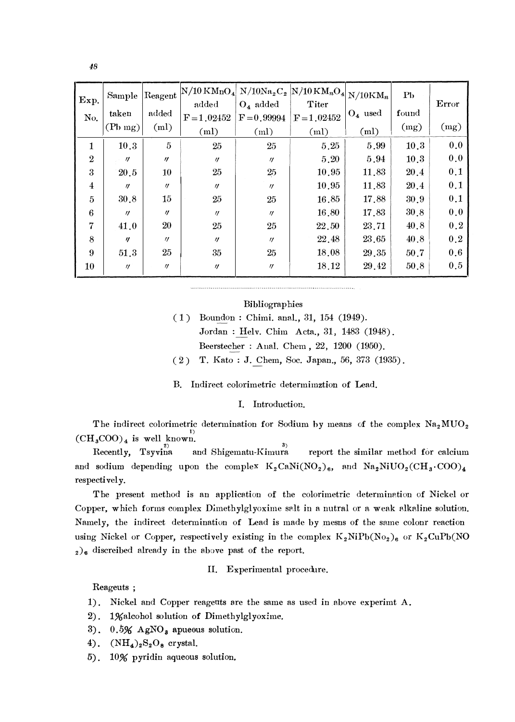| 48                           |                                   |                     |                                       |                              |                                                                         |                 |                      |                    |
|------------------------------|-----------------------------------|---------------------|---------------------------------------|------------------------------|-------------------------------------------------------------------------|-----------------|----------------------|--------------------|
|                              |                                   |                     |                                       |                              |                                                                         |                 |                      |                    |
| Exp.                         | Sample                            | Reagent             | $\mathrm{N}/10\,\mathrm{KMnO}_4$      |                              | $\mathrm{N}/\mathrm{10Na_{2}C_{2}}$ N/10 KM <sub>n</sub> O <sub>4</sub> | $N/10KM_n$      | P <sub>b</sub>       | Error              |
| No.                          | taken                             | added               | added<br>$F = 1.02452$                | $O_4$ added<br>$F = 0.99994$ | Titer<br>$F = 1.02452$                                                  | $O_4$ used      | found                |                    |
|                              | $(Pb \, mg)$                      | (ml)                | (m <sub>l</sub> )                     | (ml)                         | (ml)                                                                    | (ml)            | (mg)                 | (mg)               |
| 1                            | 10.3                              | $\overline{5}$      | 25                                    | 25                           | 5.25                                                                    | 5.99            | 10.3                 | 0.0                |
| $\,2$                        | $^{\prime\prime}$                 | $\boldsymbol{\eta}$ | $\eta$                                | $\eta$                       | $5\,.20$                                                                | $5\,.94$        | $10\,.3$             | $\boldsymbol{0.0}$ |
| $\bf{3}$<br>$\boldsymbol{4}$ | $20\!\;.5$<br>$\boldsymbol{\eta}$ | 10<br>$\eta$        | $25\,$                                | 25                           | $10\,.95$<br>$10\,.95$                                                  | 11.83<br>11.83  | $20\,.4$<br>$20\,.4$ | 0.1<br>0.1         |
| $\bf 5$                      | $30\,.8$                          | $15\,$              | $\boldsymbol{\eta}$<br>$25\,$         | $\eta$<br>$25\,$             | 16.85                                                                   | 17.88           | $30\,.9$             | $\boldsymbol{0.1}$ |
| $\bf 6$                      | $\eta$                            | $\boldsymbol{\eta}$ | $\ensuremath{\mathnormal{II}}\xspace$ | $\eta$                       | $16\!\cdot\!80$                                                         | 17.83           | $30\, .8$            | $\boldsymbol{0.0}$ |
| $\overline{\mathbf{7}}$      | 41.0                              | $20\,$              | $25\,$                                | $\rm 25$                     | $22\,.50$                                                               | 23.71           | 40.8                 | $\boldsymbol{0.2}$ |
| $\,8\,$                      | $\eta$                            | $\prime\prime$      | $\prime\prime$                        | $\eta$                       | 22.48                                                                   | $23\,, 65$      | $40.8\,$             | $\boldsymbol{0.2}$ |
| $\boldsymbol{9}$             | $51.3\,$                          | $25\,$              | $35\,$                                | $25\,$                       | 18.08                                                                   | $29\,.35$       | $50\,.7$             | $\boldsymbol{0.6}$ |
| 10                           |                                   | $\eta$              | $\boldsymbol{\eta}$                   | $\eta$                       | 18.12                                                                   | $29\!\cdot\!42$ | $50\,.8$             | $\rm 0.5$          |

### Bibliographies

( 1) Boundon : Chimi. anal., 31, 154 (1949). Jordan : Helv. Chim Acta., 31, 1483 (1948). Beerstecher : Anal. Chern , 22, 1200 (1950).  $( 2)$  T. Kato : J. Chem, Soc. Japan., 56, 373 (1935).

B. Indirect colorimetric determination of Lead.

I. Introduction.

The indirect colorimetric determination for Sodium by means of the complex  $Na<sub>2</sub>MUO<sub>2</sub>$  $\text{(CH}_3\text{COO)}_4$  is well known.

 $B^3$  Recently, Tsyvina and Shigematu-Kimura report the similar method for calcium and sodium depending upon the complex  $K_2CaNi(NO_2)_6$ , and  $Na_2NiUO_2(CH_3:COO)_4$ respectively.

The present method is an application of the colorimetric determination of Nickel or Copper, which forms complex Dimethylglyoxime salt in a nutral or a weak alkaline solution. Namely, the indirect determination of Lead is made by mesns of the same colonr reaction using Nickel or Copper, respectively existing in the complex  $K_2NiPb(No_2)_6$  or  $K_2CuPb(NO_2)_6$  $_{2})_{6}$  discreibed already in the above past of the report.

II. Experimental procedure.

Reageuts ;

- 1). Nickel and Copper reagents are the same as used in above experimt  $A$ .
- 2). 1%alcohol solution of Dimethylglyoxime.
- 3).  $0.5\%$  AgNO<sub>s</sub> apueous solution.
- 4).  $(NH_4)_2S_2O_8$  crystal.
- 5). 10% pyridin aqueous solution,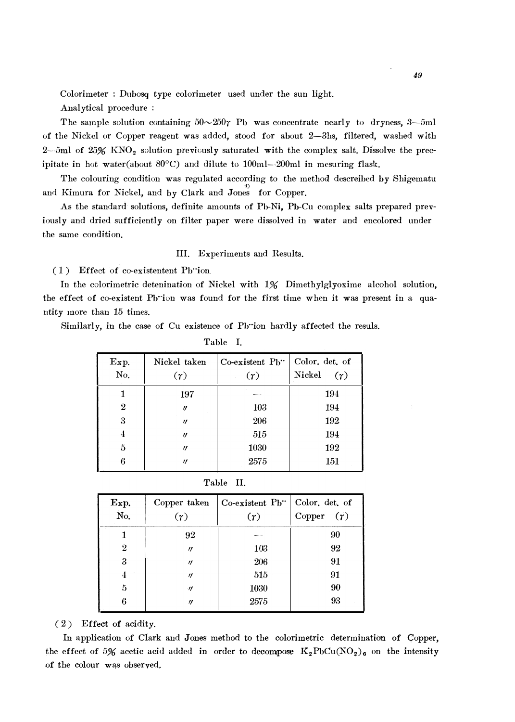Colorimeter : Dubosq type colorimeter used under the sun light.

Analytical procedure :

The sample solution containing  $50 \sim 250$  Pb was concentrate nearly to dryness, 3-5ml of the Nickel or Copper reagent was added, stood for about 2-3hs, filtered, washed with 2--5ml of  $25\%$  KNO<sub>2</sub> solution previously saturated with the complex salt. Dissolve the precipitate in hot water(about 80°C) and dilute to 100ml--200ml in mesuring flask.

The colouring condition was regulated according to the method descreibed by Shigematu and Kimura for Nickel, and by Clark and Jones for Copper.

As the standard solutions, definite amounts of Pb-Ni, Pb-Cu complex salts prepared previously and dried sufficiently on filter paper were dissolved in water and encolored under the same condition.

III. Experiments and Results.

( 1 ) Effect of co-existentent Pb··ion

In the colorimetric detenination of Nickel with 1% Dimethylglyoxime alcohol solution, the effect of co-existent Pb·ion was found for the first time when it was present in a quantity more than 15 times.

Similarly, in the case of Cu existence of Pb··ion hardly affected the resuls. Table I.

| $E_x$ p.<br>No. | Nickel taken<br>$(\gamma)$ | $Co\text{-}\mathrm{e}\mathrm{x}$ istent $Pb$ .<br>$(\gamma)$ | Color. det. of<br>(r)<br>Nickel |
|-----------------|----------------------------|--------------------------------------------------------------|---------------------------------|
|                 | 197                        |                                                              | 194                             |
| $\overline{2}$  | $^{\prime\prime}$          | 103                                                          | 194                             |
| 3               | $^{\prime\prime}$          | 206                                                          | 192                             |
| 4               | $^{\prime\prime}$          | 515                                                          | 194                             |
| 5               | $^{\prime\prime}$          | 1030                                                         | 192                             |
| 6               | $\prime$                   | 2575                                                         | 151                             |

| anie |  |
|------|--|
|------|--|

| Exp.<br>No.    | Copper taken<br>(r) | Co-existent Pb"<br>(r) | Color. det. of<br>Copper $(\tau)$ |
|----------------|---------------------|------------------------|-----------------------------------|
|                | 92                  |                        | 90                                |
| $\overline{2}$ | $^{\prime\prime}$   | 103                    | 92                                |
| 3              | $^{\prime\prime}$   | 206                    | 91                                |
| 4              | $^{\prime\prime}$   | 515                    | 91                                |
| 5              | $^{\prime\prime}$   | 1030                   | 90                                |
| 6              | $^{\prime\prime}$   | 2575                   | 93                                |
|                |                     |                        |                                   |

( 2) Effect of acidity.

In application of Clark and Jones method to the colorimetric determination of Copper, the effect of 5% acetic acid added in order to decompose  $K_2PbCu(NO_2)_{6}$  on the intensity of the colour was observed.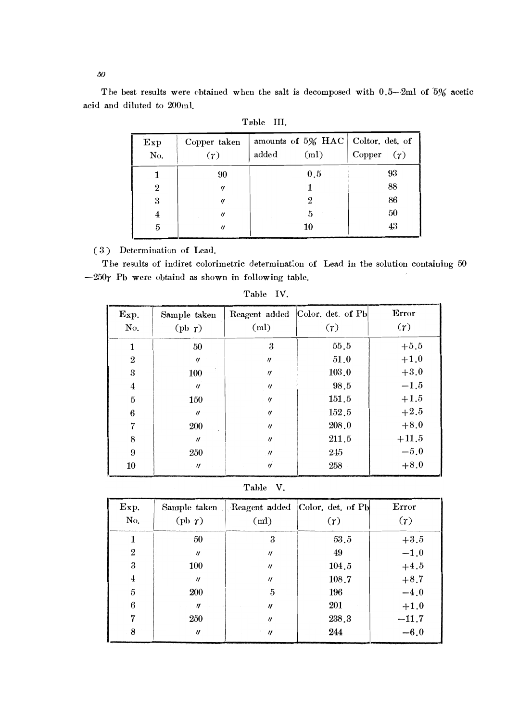50

The best results were obtained when the salt is decomposed with  $0.5-2ml$  of  $5%$  acetic acid and diluted to 200ml.

| Exp<br>No.   | Copper taken<br>(r) | amounts of 5% HAC Coltor. det. of<br>(ml)<br>added | Copper $(\gamma)$ |
|--------------|---------------------|----------------------------------------------------|-------------------|
| 1            | 90                  | 0.5                                                | 93                |
| $\mathbf{2}$ | $^{\prime\prime}$   |                                                    | 88                |
| 3            | $^{\prime\prime}$   | 9                                                  | 86                |
| 4            | $\prime$            | 5                                                  | 50                |
| 5            | $^{\prime\prime}$   | 10                                                 | 43                |

| -9.ble |  |
|--------|--|
|        |  |

(3) Determination of Lead.

The results of indiret colorimetric determination of Lead in the solution containing 50  $-250$ r Pb were obtaind as shown in following table.

| Exp.<br>No.    | Sample taken<br>$(\text{pb } \gamma)$ | (ml)              | Reagent added Color. det. of Pb<br>$(\tau)$ | Error<br>(r) |
|----------------|---------------------------------------|-------------------|---------------------------------------------|--------------|
| $\mathbf{1}$   | 50                                    | 3                 | 55.5                                        | $+5.5$       |
| $\mathbf{2}$   | $^{\prime\prime}$                     | $\eta$            | 51.0                                        | $+1.0$       |
| 3              | <b>100</b>                            | $\eta$            | 103.0                                       | $+3.0$       |
| $\overline{4}$ | $\eta$                                | $\eta$            | 98.5                                        | $-1.5$       |
| $\overline{5}$ | 150                                   | $\eta$            | 151.5                                       | $+1.5$       |
| 6              | $\eta$                                | $\eta$            | 152.5                                       | $+2.5$       |
| 7              | 200                                   | $^{\prime\prime}$ | 208.0                                       | $+8.0$       |
| 8              | $\eta$                                | $\eta$            | 211.5                                       | $+11.5$      |
| 9              | 250                                   | $^{\prime\prime}$ | 245                                         | $-5.0$       |
| 10             | $\eta$                                | $^{\prime\prime}$ | 258                                         | $+8.0$       |

Table IV.

Table V.

| Exp.<br>No.      | $(\text{pb } \gamma)$ | (ml)              | Sample taken . Reagent added Color. det. of Pb<br>(r) | Error<br>$(\gamma)$ |
|------------------|-----------------------|-------------------|-------------------------------------------------------|---------------------|
|                  | 50                    | 3                 | 53.5                                                  | $+3.5$              |
| $\boldsymbol{2}$ | $\eta$                | $\eta$            | 49                                                    | $-1.0$              |
| 3                | <b>100</b>            | $^{\prime\prime}$ | 104.5                                                 | $+4.5$              |
| $\overline{4}$   | $\eta$                | $\eta$            | 108.7                                                 | $+8.7$              |
| $\bf 5$          | 200                   | 5                 | 196                                                   | $-4.0$              |
| 6                | $\eta$                | $^{\prime\prime}$ | 201                                                   | $+1.0$              |
| 7                | 250                   | $\eta$            | 238.3                                                 | $-11.7$             |
| 8                | $^{\prime\prime}$     | $\eta$            | 244                                                   | $-6.0$              |